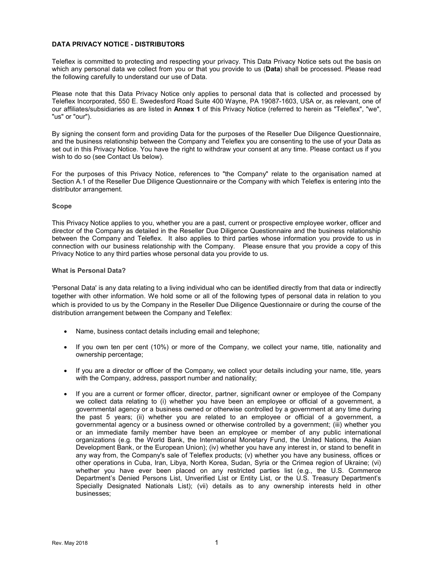# DATA PRIVACY NOTICE - DISTRIBUTORS

Teleflex is committed to protecting and respecting your privacy. This Data Privacy Notice sets out the basis on which any personal data we collect from you or that you provide to us (Data) shall be processed. Please read the following carefully to understand our use of Data.

Please note that this Data Privacy Notice only applies to personal data that is collected and processed by Teleflex Incorporated, 550 E. Swedesford Road Suite 400 Wayne, PA 19087-1603, USA or, as relevant, one of our affiliates/subsidiaries as are listed in Annex 1 of this Privacy Notice (referred to herein as "Teleflex", "we", "us" or "our").

By signing the consent form and providing Data for the purposes of the Reseller Due Diligence Questionnaire, and the business relationship between the Company and Teleflex you are consenting to the use of your Data as set out in this Privacy Notice. You have the right to withdraw your consent at any time. Please contact us if you wish to do so (see Contact Us below).

For the purposes of this Privacy Notice, references to "the Company" relate to the organisation named at Section A.1 of the Reseller Due Diligence Questionnaire or the Company with which Teleflex is entering into the distributor arrangement.

## Scope

This Privacy Notice applies to you, whether you are a past, current or prospective employee worker, officer and director of the Company as detailed in the Reseller Due Diligence Questionnaire and the business relationship between the Company and Teleflex. It also applies to third parties whose information you provide to us in connection with our business relationship with the Company. Please ensure that you provide a copy of this Privacy Notice to any third parties whose personal data you provide to us.

## What is Personal Data?

'Personal Data' is any data relating to a living individual who can be identified directly from that data or indirectly together with other information. We hold some or all of the following types of personal data in relation to you which is provided to us by the Company in the Reseller Due Diligence Questionnaire or during the course of the distribution arrangement between the Company and Teleflex:

- Name, business contact details including email and telephone;
- If you own ten per cent (10%) or more of the Company, we collect your name, title, nationality and ownership percentage;
- If you are a director or officer of the Company, we collect your details including your name, title, years with the Company, address, passport number and nationality;
- If you are a current or former officer, director, partner, significant owner or employee of the Company we collect data relating to (i) whether you have been an employee or official of a government, a governmental agency or a business owned or otherwise controlled by a government at any time during the past 5 years; (ii) whether you are related to an employee or official of a government, a governmental agency or a business owned or otherwise controlled by a government; (iii) whether you or an immediate family member have been an employee or member of any public international organizations (e.g. the World Bank, the International Monetary Fund, the United Nations, the Asian Development Bank, or the European Union); (iv) whether you have any interest in, or stand to benefit in any way from, the Company's sale of Teleflex products; (v) whether you have any business, offices or other operations in Cuba, Iran, Libya, North Korea, Sudan, Syria or the Crimea region of Ukraine; (vi) whether you have ever been placed on any restricted parties list (e.g., the U.S. Commerce Department's Denied Persons List, Unverified List or Entity List, or the U.S. Treasury Department's Specially Designated Nationals List); (vii) details as to any ownership interests held in other businesses;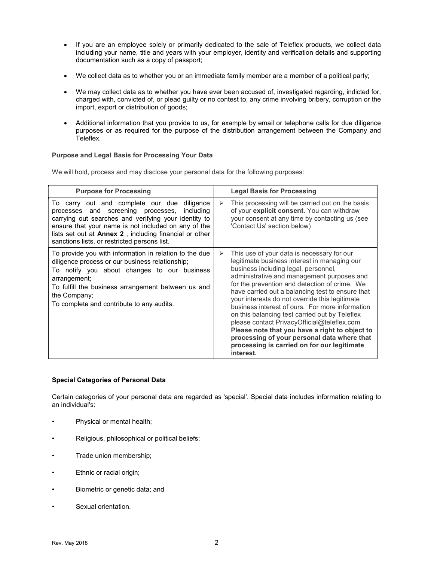- If you are an employee solely or primarily dedicated to the sale of Teleflex products, we collect data including your name, title and years with your employer, identity and verification details and supporting documentation such as a copy of passport;
- We collect data as to whether you or an immediate family member are a member of a political party;
- We may collect data as to whether you have ever been accused of, investigated regarding, indicted for, charged with, convicted of, or plead guilty or no contest to, any crime involving bribery, corruption or the import, export or distribution of goods;
- Additional information that you provide to us, for example by email or telephone calls for due diligence purposes or as required for the purpose of the distribution arrangement between the Company and Teleflex.

# Purpose and Legal Basis for Processing Your Data

We will hold, process and may disclose your personal data for the following purposes:

| <b>Purpose for Processing</b>                                                                                                                                                                                                                                                                                                   | <b>Legal Basis for Processing</b>                                                                                                                                                                                                                                                                                                                                                                                                                                                                                                                                                                                                                              |
|---------------------------------------------------------------------------------------------------------------------------------------------------------------------------------------------------------------------------------------------------------------------------------------------------------------------------------|----------------------------------------------------------------------------------------------------------------------------------------------------------------------------------------------------------------------------------------------------------------------------------------------------------------------------------------------------------------------------------------------------------------------------------------------------------------------------------------------------------------------------------------------------------------------------------------------------------------------------------------------------------------|
| To carry out and complete our due diligence<br>processes and screening processes,<br>including<br>carrying out searches and verifying your identity to<br>ensure that your name is not included on any of the<br>lists set out at <b>Annex 2</b> , including financial or other<br>sanctions lists, or restricted persons list. | This processing will be carried out on the basis<br>➤<br>of your explicit consent. You can withdraw<br>your consent at any time by contacting us (see<br>'Contact Us' section below)                                                                                                                                                                                                                                                                                                                                                                                                                                                                           |
| To provide you with information in relation to the due<br>diligence process or our business relationship;<br>To notify you about changes to our business<br>arrangement;<br>To fulfill the business arrangement between us and<br>the Company;<br>To complete and contribute to any audits.                                     | This use of your data is necessary for our<br>➤<br>legitimate business interest in managing our<br>business including legal, personnel,<br>administrative and management purposes and<br>for the prevention and detection of crime. We<br>have carried out a balancing test to ensure that<br>your interests do not override this legitimate<br>business interest of ours. For more information<br>on this balancing test carried out by Teleflex<br>please contact PrivacyOfficial@teleflex.com.<br>Please note that you have a right to object to<br>processing of your personal data where that<br>processing is carried on for our legitimate<br>interest. |

# Special Categories of Personal Data

Certain categories of your personal data are regarded as 'special'. Special data includes information relating to an individual's:

- Physical or mental health;
- Religious, philosophical or political beliefs;
- Trade union membership;
- Ethnic or racial origin;
- Biometric or genetic data; and
- Sexual orientation.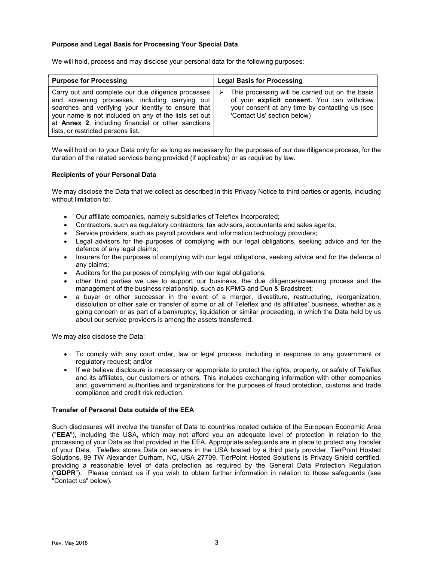# Purpose and Legal Basis for Processing Your Special Data

We will hold, process and may disclose your personal data for the following purposes:

| <b>Purpose for Processing</b>                                                                                                                                                                                                                                                                                     | <b>Legal Basis for Processing</b>                                                                                                                                                    |
|-------------------------------------------------------------------------------------------------------------------------------------------------------------------------------------------------------------------------------------------------------------------------------------------------------------------|--------------------------------------------------------------------------------------------------------------------------------------------------------------------------------------|
| Carry out and complete our due diligence processes<br>and screening processes, including carrying out<br>searches and verifying your identity to ensure that<br>your name is not included on any of the lists set out<br>at Annex 2, including financial or other sanctions<br>lists, or restricted persons list. | This processing will be carried out on the basis<br>➤<br>of your explicit consent. You can withdraw<br>your consent at any time by contacting us (see<br>'Contact Us' section below) |

We will hold on to your Data only for as long as necessary for the purposes of our due diligence process, for the duration of the related services being provided (if applicable) or as required by law.

# Recipients of your Personal Data

We may disclose the Data that we collect as described in this Privacy Notice to third parties or agents, including without limitation to:

- Our affiliate companies, namely subsidiaries of Teleflex Incorporated;
- Contractors, such as regulatory contractors, tax advisors, accountants and sales agents;
- Service providers, such as payroll providers and information technology providers;
- Legal advisors for the purposes of complying with our legal obligations, seeking advice and for the defence of any legal claims;
- Insurers for the purposes of complying with our legal obligations, seeking advice and for the defence of any claims;
- Auditors for the purposes of complying with our legal obligations;
- other third parties we use to support our business, the due diligence/screening process and the management of the business relationship, such as KPMG and Dun & Bradstreet;
- a buyer or other successor in the event of a merger, divestiture, restructuring, reorganization, dissolution or other sale or transfer of some or all of Teleflex and its affiliates' business, whether as a going concern or as part of a bankruptcy, liquidation or similar proceeding, in which the Data held by us about our service providers is among the assets transferred.

We may also disclose the Data:

- To comply with any court order, law or legal process, including in response to any government or regulatory request; and/or
- If we believe disclosure is necessary or appropriate to protect the rights, property, or safety of Teleflex and its affiliates, our customers or others. This includes exchanging information with other companies and, government authorities and organizations for the purposes of fraud protection, customs and trade compliance and credit risk reduction.

## Transfer of Personal Data outside of the EEA

Such disclosures will involve the transfer of Data to countries located outside of the European Economic Area ("EEA"), including the USA, which may not afford you an adequate level of protection in relation to the processing of your Data as that provided in the EEA. Appropriate safeguards are in place to protect any transfer of your Data. Teleflex stores Data on servers in the USA hosted by a third party provider, TierPoint Hosted Solutions, 99 TW Alexander Durham, NC, USA 27709. TierPoint Hosted Solutions is Privacy Shield certified, providing a reasonable level of data protection as required by the General Data Protection Regulation ("GDPR"). Please contact us if you wish to obtain further information in relation to those safeguards (see "Contact us" below).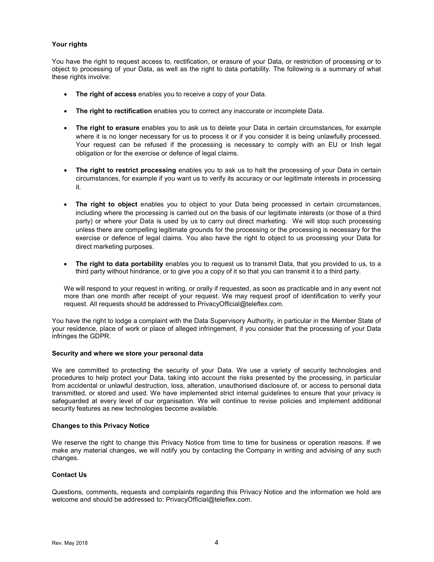# Your rights

You have the right to request access to, rectification, or erasure of your Data, or restriction of processing or to object to processing of your Data, as well as the right to data portability. The following is a summary of what these rights involve:

- The right of access enables you to receive a copy of your Data.
- The right to rectification enables you to correct any inaccurate or incomplete Data.
- The right to erasure enables you to ask us to delete your Data in certain circumstances, for example where it is no longer necessary for us to process it or if you consider it is being unlawfully processed. Your request can be refused if the processing is necessary to comply with an EU or Irish legal obligation or for the exercise or defence of legal claims.
- The right to restrict processing enables you to ask us to halt the processing of your Data in certain circumstances, for example if you want us to verify its accuracy or our legitimate interests in processing it.
- The right to object enables you to object to your Data being processed in certain circumstances, including where the processing is carried out on the basis of our legitimate interests (or those of a third party) or where your Data is used by us to carry out direct marketing. We will stop such processing unless there are compelling legitimate grounds for the processing or the processing is necessary for the exercise or defence of legal claims. You also have the right to object to us processing your Data for direct marketing purposes.
- The right to data portability enables you to request us to transmit Data, that you provided to us, to a third party without hindrance, or to give you a copy of it so that you can transmit it to a third party.

We will respond to your request in writing, or orally if requested, as soon as practicable and in any event not more than one month after receipt of your request. We may request proof of identification to verify your request. All requests should be addressed to PrivacyOfficial@teleflex.com.

You have the right to lodge a complaint with the Data Supervisory Authority, in particular in the Member State of your residence, place of work or place of alleged infringement, if you consider that the processing of your Data infringes the GDPR.

## Security and where we store your personal data

We are committed to protecting the security of your Data. We use a variety of security technologies and procedures to help protect your Data, taking into account the risks presented by the processing, in particular from accidental or unlawful destruction, loss, alteration, unauthorised disclosure of, or access to personal data transmitted, or stored and used. We have implemented strict internal guidelines to ensure that your privacy is safeguarded at every level of our organisation. We will continue to revise policies and implement additional security features as new technologies become available.

## Changes to this Privacy Notice

We reserve the right to change this Privacy Notice from time to time for business or operation reasons. If we make any material changes, we will notify you by contacting the Company in writing and advising of any such changes.

# Contact Us

Questions, comments, requests and complaints regarding this Privacy Notice and the information we hold are welcome and should be addressed to: PrivacyOfficial@teleflex.com.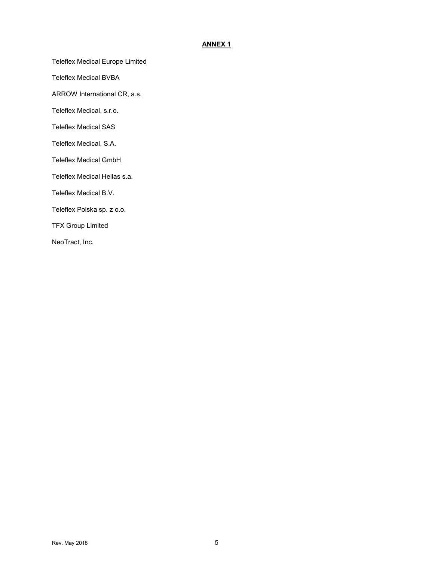# ANNEX 1

Teleflex Medical Europe Limited

Teleflex Medical BVBA

ARROW International CR, a.s.

Teleflex Medical, s.r.o.

Teleflex Medical SAS

Teleflex Medical, S.A.

Teleflex Medical GmbH

Teleflex Medical Hellas s.a.

Teleflex Medical B.V.

Teleflex Polska sp. z o.o.

TFX Group Limited

NeoTract, Inc.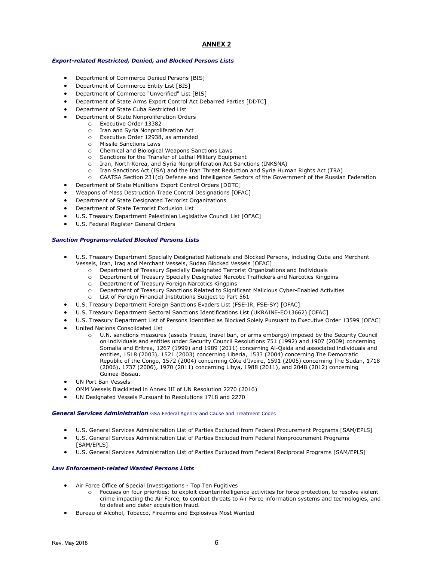## ANNEX 2

### Export-related Restricted, Denied, and Blocked Persons Lists

- Department of Commerce Denied Persons [BIS]
- Department of Commerce Entity List [BIS]
- Department of Commerce "Unverified" List [BIS]
- Department of State Arms Export Control Act Debarred Parties [DDTC]
- Department of State Cuba Restricted List
- Department of State Nonproliferation Orders
- o Executive Order 13382
	- o Iran and Syria Nonproliferation Act
	- o Executive Order 12938, as amended
	- o Missile Sanctions Laws
	- o Chemical and Biological Weapons Sanctions Laws
	- o Sanctions for the Transfer of Lethal Military Equipment
	- o Iran, North Korea, and Syria Nonproliferation Act Sanctions (INKSNA)
	- o Iran Sanctions Act (ISA) and the Iran Threat Reduction and Syria Human Rights Act (TRA)
	- o CAATSA Section 231(d) Defense and Intelligence Sectors of the Government of the Russian Federation
- Department of State Munitions Export Control Orders [DDTC]
- Weapons of Mass Destruction Trade Control Designations [OFAC]
- Department of State Designated Terrorist Organizations
- Department of State Terrorist Exclusion List
- U.S. Treasury Department Palestinian Legislative Council List [OFAC]
- U.S. Federal Register General Orders

### Sanction Programs-related Blocked Persons Lists

- U.S. Treasury Department Specially Designated Nationals and Blocked Persons, including Cuba and Merchant Vessels, Iran, Iraq and Merchant Vessels, Sudan Blocked Vessels [OFAC]
	- o Department of Treasury Specially Designated Terrorist Organizations and Individuals
	- o Department of Treasury Specially Designated Narcotic Traffickers and Narcotics Kingpins
	- o Department of Treasury Foreign Narcotics Kingpins
	- o Department of Treasury Sanctions Related to Significant Malicious Cyber-Enabled Activities
	- o List of Foreign Financial Institutions Subject to Part 561
- U.S. Treasury Department Foreign Sanctions Evaders List (FSE-IR, FSE-SY) [OFAC]
- U.S. Treasury Department Sectoral Sanctions Identifications List (UKRAINE-EO13662) [OFAC]
- U.S. Treasury Department List of Persons Identified as Blocked Solely Pursuant to Executive Order 13599 [OFAC]
- United Nations Consolidated List
	- o U.N. sanctions measures (assets freeze, travel ban, or arms embargo) imposed by the Security Council on individuals and entities under Security Council Resolutions 751 (1992) and 1907 (2009) concerning Somalia and Eritrea, 1267 (1999) and 1989 (2011) concerning Al-Qaida and associated individuals and entities, 1518 (2003), 1521 (2003) concerning Liberia, 1533 (2004) concerning The Democratic Republic of the Congo, 1572 (2004) concerning Côte d'Ivoire, 1591 (2005) concerning The Sudan, 1718 (2006), 1737 (2006), 1970 (2011) concerning Libya, 1988 (2011), and 2048 (2012) concerning Guinea-Bissau.
- UN Port Ban Vessels
- OMM Vessels Blacklisted in Annex III of UN Resolution 2270 (2016)
- UN Designated Vessels Pursuant to Resolutions 1718 and 2270

#### General Services Administration GSA Federal Agency and Cause and Treatment Codes

- U.S. General Services Administration List of Parties Excluded from Federal Procurement Programs [SAM/EPLS]
- U.S. General Services Administration List of Parties Excluded from Federal Nonprocurement Programs [SAM/EPLS]
- U.S. General Services Administration List of Parties Excluded from Federal Reciprocal Programs [SAM/EPLS]

### Law Enforcement-related Wanted Persons Lists

- Air Force Office of Special Investigations Top Ten Fugitives
	- o Focuses on four priorities: to exploit counterintelligence activities for force protection, to resolve violent crime impacting the Air Force, to combat threats to Air Force information systems and technologies, and to defeat and deter acquisition fraud.
- Bureau of Alcohol, Tobacco, Firearms and Explosives Most Wanted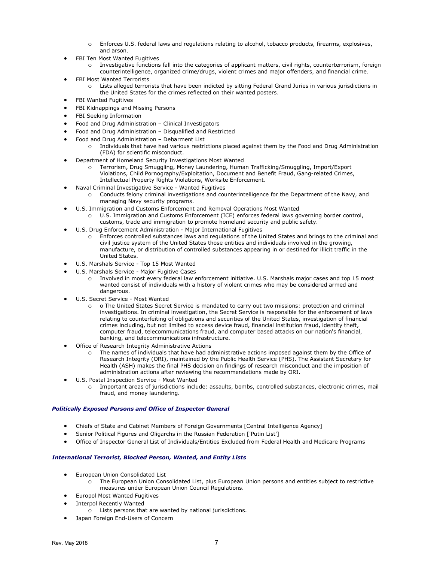- o Enforces U.S. federal laws and regulations relating to alcohol, tobacco products, firearms, explosives, and arson.
- FBI Ten Most Wanted Fugitives
	- o Investigative functions fall into the categories of applicant matters, civil rights, counterterrorism, foreign counterintelligence, organized crime/drugs, violent crimes and major offenders, and financial crime.
- FBI Most Wanted Terrorists
	- Lists alleged terrorists that have been indicted by sitting Federal Grand Juries in various jurisdictions in the United States for the crimes reflected on their wanted posters.
- FBI Wanted Fugitives
- **•** FBI Kidnappings and Missing Persons
- FBI Seeking Information
- Food and Drug Administration Clinical Investigators
- Food and Drug Administration Disqualified and Restricted
- Food and Drug Administration Debarment List
	- Individuals that have had various restrictions placed against them by the Food and Drug Administration (FDA) for scientific misconduct.
- Department of Homeland Security Investigations Most Wanted
	- o Terrorism, Drug Smuggling, Money Laundering, Human Trafficking/Smuggling, Import/Export Violations, Child Pornography/Exploitation, Document and Benefit Fraud, Gang-related Crimes, Intellectual Property Rights Violations, Worksite Enforcement.
- Naval Criminal Investigative Service Wanted Fugitives
	- o Conducts felony criminal investigations and counterintelligence for the Department of the Navy, and managing Navy security programs.
	- U.S. Immigration and Customs Enforcement and Removal Operations Most Wanted
		- U.S. Immigration and Customs Enforcement (ICE) enforces federal laws governing border control, customs, trade and immigration to promote homeland security and public safety.
- U.S. Drug Enforcement Administration Major International Fugitives
	- Enforces controlled substances laws and regulations of the United States and brings to the criminal and civil justice system of the United States those entities and individuals involved in the growing, manufacture, or distribution of controlled substances appearing in or destined for illicit traffic in the United States.
- U.S. Marshals Service Top 15 Most Wanted
- U.S. Marshals Service Major Fugitive Cases
	- o Involved in most every federal law enforcement initiative. U.S. Marshals major cases and top 15 most wanted consist of individuals with a history of violent crimes who may be considered armed and dangerous.
- U.S. Secret Service Most Wanted
	- o The United States Secret Service is mandated to carry out two missions: protection and criminal investigations. In criminal investigation, the Secret Service is responsible for the enforcement of laws relating to counterfeiting of obligations and securities of the United States, investigation of financial crimes including, but not limited to access device fraud, financial institution fraud, identity theft, computer fraud, telecommunications fraud, and computer based attacks on our nation's financial, banking, and telecommunications infrastructure.
- Office of Research Integrity Administrative Actions
	- o The names of individuals that have had administrative actions imposed against them by the Office of Research Integrity (ORI), maintained by the Public Health Service (PHS). The Assistant Secretary for Health (ASH) makes the final PHS decision on findings of research misconduct and the imposition of administration actions after reviewing the recommendations made by ORI.
- U.S. Postal Inspection Service Most Wanted
	- o Important areas of jurisdictions include: assaults, bombs, controlled substances, electronic crimes, mail fraud, and money laundering.

### Politically Exposed Persons and Office of Inspector General

- Chiefs of State and Cabinet Members of Foreign Governments [Central Intelligence Agency]
- Senior Political Figures and Oligarchs in the Russian Federation ['Putin List']
- Office of Inspector General List of Individuals/Entities Excluded from Federal Health and Medicare Programs

### International Terrorist, Blocked Person, Wanted, and Entity Lists

- **•** European Union Consolidated List
	- o The European Union Consolidated List, plus European Union persons and entities subject to restrictive measures under European Union Council Regulations.
- Europol Most Wanted Fugitives
- Interpol Recently Wanted
	- o Lists persons that are wanted by national jurisdictions.
- Japan Foreign End-Users of Concern